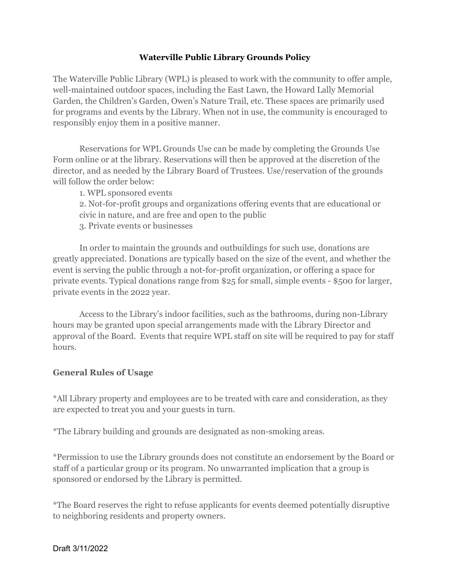## **Waterville Public Library Grounds Policy**

The Waterville Public Library (WPL) is pleased to work with the community to offer ample, well-maintained outdoor spaces, including the East Lawn, the Howard Lally Memorial Garden, the Children's Garden, Owen's Nature Trail, etc. These spaces are primarily used for programs and events by the Library. When not in use, the community is encouraged to responsibly enjoy them in a positive manner.

Reservations for WPL Grounds Use can be made by completing the Grounds Use Form online or at the library. Reservations will then be approved at the discretion of the director, and as needed by the Library Board of Trustees. Use/reservation of the grounds will follow the order below:

1. WPL sponsored events

2. Not-for-profit groups and organizations offering events that are educational or civic in nature, and are free and open to the public

3. Private events or businesses

In order to maintain the grounds and outbuildings for such use, donations are greatly appreciated. Donations are typically based on the size of the event, and whether the event is serving the public through a not-for-profit organization, or offering a space for private events. Typical donations range from \$25 for small, simple events - \$500 for larger, private events in the 2022 year.

Access to the Library's indoor facilities, such as the bathrooms, during non-Library hours may be granted upon special arrangements made with the Library Director and approval of the Board. Events that require WPL staff on site will be required to pay for staff hours.

## **General Rules of Usage**

\*All Library property and employees are to be treated with care and consideration, as they are expected to treat you and your guests in turn.

\*The Library building and grounds are designated as non-smoking areas.

\*Permission to use the Library grounds does not constitute an endorsement by the Board or staff of a particular group or its program. No unwarranted implication that a group is sponsored or endorsed by the Library is permitted.

\*The Board reserves the right to refuse applicants for events deemed potentially disruptive to neighboring residents and property owners.